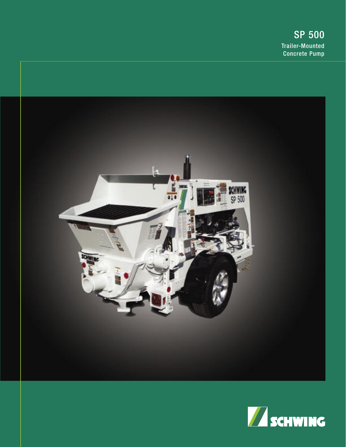

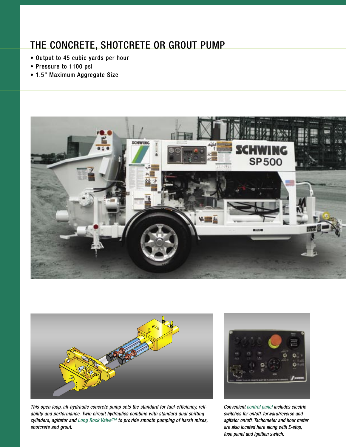## THE CONCRETE, SHOTCRETE OR GROUT PUMP

- Output to 45 cubic yards per hour
- Pressure to 1100 psi
- 1.5" Maximum Aggregate Size





This open loop, all-hydraulic concrete pump sets the standard for fuel-efficiency, reliability and performance. Twin circuit hydraulics combine with standard dual shifting cylinders, agitator and Long Rock Valve™ to provide smooth pumping of harsh mixes, shotcrete and grout.



Convenient control panel includes electric switches for on/off, forward/reverse and agitator on/off. Tachometer and hour meter are also located here along with E-stop, fuse panel and ignition switch.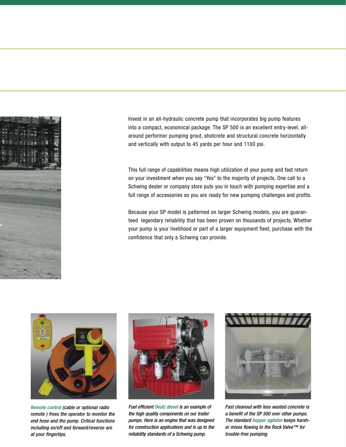

Invest in an all-hydraulic concrete pump that incorporates big pump features into a compact, economical package. The SP 500 is an excellent entry-level, allaround performer pumping grout, shotcrete and structural concrete horizontally and vertically with output to 45 yards per hour and 1100 psi.

This full range of capabilities means high utilization of your pump and fast return on your investment when you say "Yes" to the majority of projects. One call to a Schwing dealer or company store puts you in touch with pumping expertise and a full range of accessories so you are ready for new pumping challenges and profits.

Because your SP model is patterned on larger Schwing models, you are guaranteed legendary reliability that has been proven on thousands of projects. Whether your pump is your livelihood or part of a larger equipment fleet, purchase with the confidence that only a Schwing can provide.



Remote control (cable or optional radio remote ) frees the operator to monitor the end hose and the pump. Critical functions including on/off and forward/reverse are at your fingertips.



Fuel efficient Deutz diesel is an example of the high quality components on our trailer pumps. Here is an engine that was designed for construction applications and is up to the reliability standards of a Schwing pump.



Fast cleanout with less wasted concrete is a benefit of the SP 500 over other pumps. The standard hopper agitator keeps harsher mixes flowing to the Rock Valve™ for trouble-free pumping.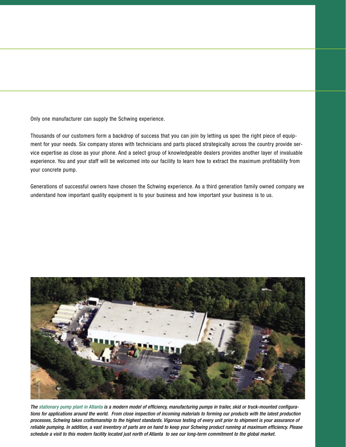Only one manufacturer can supply the Schwing experience.

Thousands of our customers form a backdrop of success that you can join by letting us spec the right piece of equipment for your needs. Six company stores with technicians and parts placed strategically across the country provide service expertise as close as your phone. And a select group of knowledgeable dealers provides another layer of invaluable experience. You and your staff will be welcomed into our facility to learn how to extract the maximum profitability from your concrete pump.

Generations of successful owners have chosen the Schwing experience. As a third generation family owned company we understand how important quality equipment is to your business and how important your business is to us.



The stationary pump plant in Atlanta is a modern model of efficiency, manufacturing pumps in trailer, skid or truck-mounted configurations for applications around the world. From close inspection of incoming materials to forming our products with the latest production processes, Schwing takes craftsmanship to the highest standards. Vigorous testing of every unit prior to shipment is your assurance of reliable pumping. In addition, a vast inventory of parts are on hand to keep your Schwing product running at maximum efficiency. Please schedule a visit to this modern facility located just north of Atlanta to see our long-term commitment to the global market.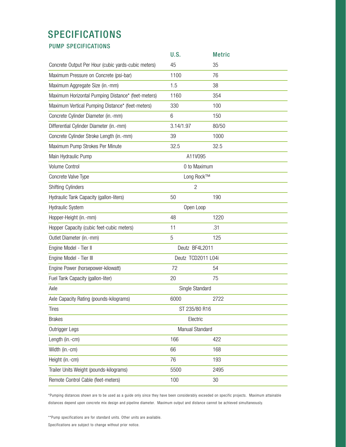## SPECIFICATIONS

PUMP SPECIFICATIONS

|                                                     | U.S.                   | <b>Metric</b> |  |
|-----------------------------------------------------|------------------------|---------------|--|
| Concrete Output Per Hour (cubic yards-cubic meters) | 45                     | 35            |  |
| Maximum Pressure on Concrete (psi-bar)              | 1100                   | 76            |  |
| Maximum Aggregate Size (in.-mm)                     | 1.5                    | 38            |  |
| Maximum Horizontal Pumping Distance* (feet-meters)  | 1160                   | 354           |  |
| Maximum Vertical Pumping Distance* (feet-meters)    | 330                    | 100           |  |
| Concrete Cylinder Diameter (in.-mm)                 | 6                      | 150           |  |
| Differential Cylinder Diameter (in.-mm)             | 3.14/1.97              | 80/50         |  |
| Concrete Cylinder Stroke Length (in.-mm)            | 39                     | 1000          |  |
| Maximum Pump Strokes Per Minute                     | 32.5                   | 32.5          |  |
| Main Hydraulic Pump                                 | A11V095                |               |  |
| Volume Control                                      | 0 to Maximum           |               |  |
| Concrete Valve Type                                 | Long Rock™             |               |  |
| <b>Shifting Cylinders</b>                           | 2                      |               |  |
| Hydraulic Tank Capacity (gallon-liters)             | 50                     | 190           |  |
| Hydraulic System                                    | Open Loop              |               |  |
| Hopper-Height (in.-mm)                              | 48                     | 1220          |  |
| Hopper Capacity (cubic feet-cubic meters)           | 11                     | .31           |  |
| Outlet Diameter (in.-mm)                            | 5                      | 125           |  |
| Engine Model - Tier II                              | Deutz BF4L2011         |               |  |
| Engine Model - Tier III                             | Deutz TCD2011 L04i     |               |  |
| Engine Power (horsepower-kilowatt)                  | 72                     | 54            |  |
| Fuel Tank Capacity (gallon-liter)                   | 20                     | 75            |  |
| Axle                                                | Single Standard        |               |  |
| Axle Capacity Rating (pounds-kilograms)             | 6000                   | 2722          |  |
| <b>Tires</b>                                        | ST 235/80 R16          |               |  |
| <b>Brakes</b>                                       | Electric               |               |  |
| Outrigger Legs                                      | <b>Manual Standard</b> |               |  |
| Length (in.-cm)                                     | 166                    | 422           |  |
| Width (in.-cm)                                      | 66                     | 168           |  |
| Height (in.-cm)                                     | 76                     | 193           |  |
| Trailer Units Weight (pounds-kilograms)             | 5500                   | 2495          |  |
| Remote Control Cable (feet-meters)                  | 100                    | 30            |  |

\*Pumping distances shown are to be used as a guide only since they have been considerably exceeded on specific projects. Maximum attainable distances depend upon concrete mix design and pipeline diameter. Maximum output and distance cannot be achieved simultaneously.

\*\*Pump specifications are for standard units. Other units are available.

Specifications are subject to change without prior notice.